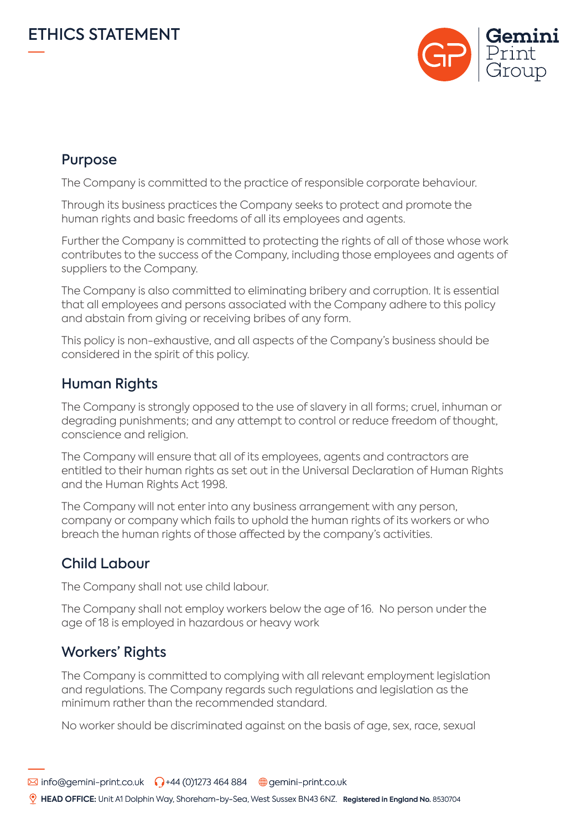

## Purpose

The Company is committed to the practice of responsible corporate behaviour.

Through its business practices the Company seeks to protect and promote the human rights and basic freedoms of all its employees and agents.

Further the Company is committed to protecting the rights of all of those whose work contributes to the success of the Company, including those employees and agents of suppliers to the Company.

The Company is also committed to eliminating bribery and corruption. It is essential that all employees and persons associated with the Company adhere to this policy and abstain from giving or receiving bribes of any form.

This policy is non-exhaustive, and all aspects of the Company's business should be considered in the spirit of this policy.

# Human Rights

The Company is strongly opposed to the use of slavery in all forms; cruel, inhuman or degrading punishments; and any attempt to control or reduce freedom of thought, conscience and religion.

The Company will ensure that all of its employees, agents and contractors are entitled to their human rights as set out in the Universal Declaration of Human Rights and the Human Rights Act 1998.

The Company will not enter into any business arrangement with any person, company or company which fails to uphold the human rights of its workers or who breach the human rights of those affected by the company's activities.

#### Child Labour

The Company shall not use child labour.

The Company shall not employ workers below the age of 16. No person under the age of 18 is employed in hazardous or heavy work

## Workers' Rights

The Company is committed to complying with all relevant employment legislation and regulations. The Company regards such regulations and legislation as the minimum rather than the recommended standard.

No worker should be discriminated against on the basis of age, sex, race, sexual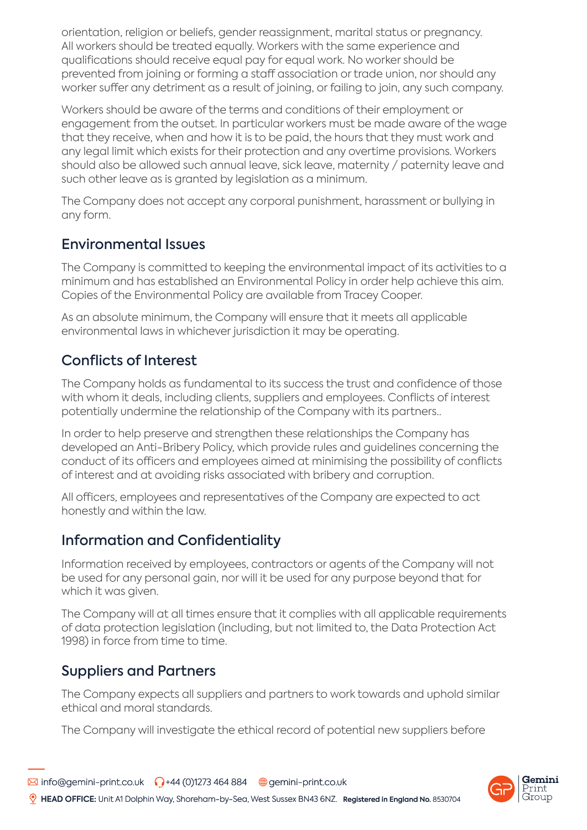orientation, religion or beliefs, gender reassignment, marital status or pregnancy. All workers should be treated equally. Workers with the same experience and qualifications should receive equal pay for equal work. No worker should be prevented from joining or forming a staff association or trade union, nor should any worker suffer any detriment as a result of joining, or failing to join, any such company.

Workers should be aware of the terms and conditions of their employment or engagement from the outset. In particular workers must be made aware of the wage that they receive, when and how it is to be paid, the hours that they must work and any legal limit which exists for their protection and any overtime provisions. Workers should also be allowed such annual leave, sick leave, maternity / paternity leave and such other leave as is granted by legislation as a minimum.

The Company does not accept any corporal punishment, harassment or bullying in any form.

#### Environmental Issues

The Company is committed to keeping the environmental impact of its activities to a minimum and has established an Environmental Policy in order help achieve this aim. Copies of the Environmental Policy are available from Tracey Cooper.

As an absolute minimum, the Company will ensure that it meets all applicable environmental laws in whichever jurisdiction it may be operating.

# Conflicts of Interest

The Company holds as fundamental to its success the trust and confidence of those with whom it deals, including clients, suppliers and employees. Conflicts of interest potentially undermine the relationship of the Company with its partners..

In order to help preserve and strengthen these relationships the Company has developed an Anti-Bribery Policy, which provide rules and guidelines concerning the conduct of its officers and employees aimed at minimising the possibility of conflicts of interest and at avoiding risks associated with bribery and corruption.

All officers, employees and representatives of the Company are expected to act honestly and within the law.

## Information and Confidentiality

Information received by employees, contractors or agents of the Company will not be used for any personal gain, nor will it be used for any purpose beyond that for which it was given.

The Company will at all times ensure that it complies with all applicable requirements of data protection legislation (including, but not limited to, the Data Protection Act 1998) in force from time to time.

## Suppliers and Partners

The Company expects all suppliers and partners to work towards and uphold similar ethical and moral standards.

The Company will investigate the ethical record of potential new suppliers before